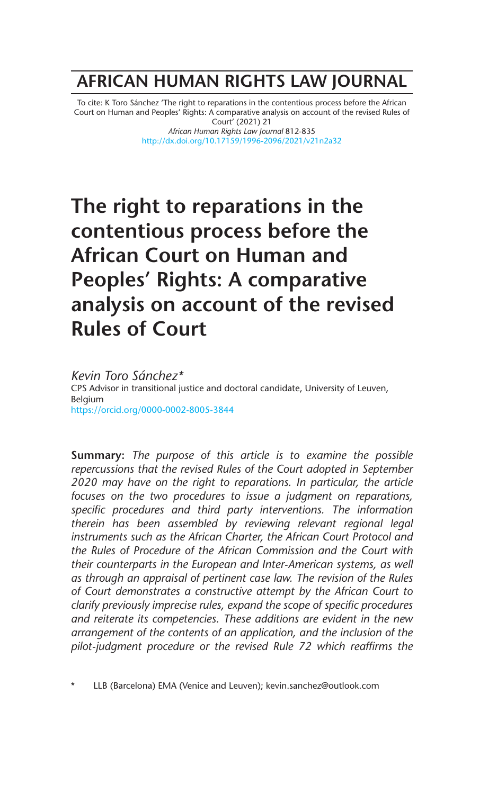## **AFRICAN HUMAN RIGHTS LAW JOURNAL**

To cite: K Toro Sánchez 'The right to reparations in the contentious process before the African Court on Human and Peoples' Rights: A comparative analysis on account of the revised Rules of Court' (2021) 21 *African Human Rights Law Journal* 812-835

http://dx.doi.org/10.17159/1996-2096/2021/v21n2a32

# **The right to reparations in the contentious process before the African Court on Human and Peoples' Rights: A comparative analysis on account of the revised Rules of Court**

*Kevin Toro Sánchez\** CPS Advisor in transitional justice and doctoral candidate, University of Leuven, Belgium https://orcid.org/0000-0002-8005-3844

**Summary:** *The purpose of this article is to examine the possible repercussions that the revised Rules of the Court adopted in September 2020 may have on the right to reparations. In particular, the article focuses on the two procedures to issue a judgment on reparations, specific procedures and third party interventions. The information therein has been assembled by reviewing relevant regional legal instruments such as the African Charter, the African Court Protocol and the Rules of Procedure of the African Commission and the Court with their counterparts in the European and Inter-American systems, as well as through an appraisal of pertinent case law. The revision of the Rules of Court demonstrates a constructive attempt by the African Court to clarify previously imprecise rules, expand the scope of specific procedures and reiterate its competencies. These additions are evident in the new arrangement of the contents of an application, and the inclusion of the pilot-judgment procedure or the revised Rule 72 which reaffirms the*

LLB (Barcelona) EMA (Venice and Leuven); kevin.sanchez@outlook.com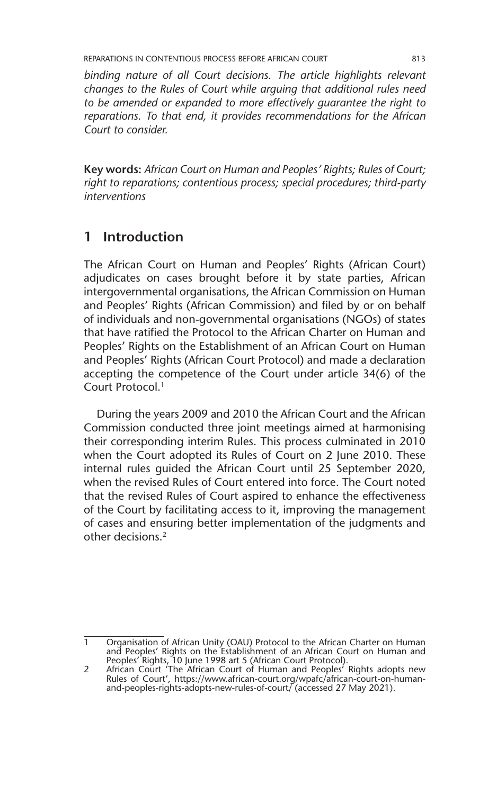*binding nature of all Court decisions. The article highlights relevant changes to the Rules of Court while arguing that additional rules need to be amended or expanded to more effectively guarantee the right to reparations. To that end, it provides recommendations for the African Court to consider.*

**Key words:** *African Court on Human and Peoples' Rights; Rules of Court; right to reparations; contentious process; special procedures; third-party interventions*

### **1 Introduction**

The African Court on Human and Peoples' Rights (African Court) adjudicates on cases brought before it by state parties, African intergovernmental organisations, the African Commission on Human and Peoples' Rights (African Commission) and filed by or on behalf of individuals and non-governmental organisations (NGOs) of states that have ratified the Protocol to the African Charter on Human and Peoples' Rights on the Establishment of an African Court on Human and Peoples' Rights (African Court Protocol) and made a declaration accepting the competence of the Court under article 34(6) of the Court Protocol.1

During the years 2009 and 2010 the African Court and the African Commission conducted three joint meetings aimed at harmonising their corresponding interim Rules. This process culminated in 2010 when the Court adopted its Rules of Court on 2 June 2010. These internal rules guided the African Court until 25 September 2020, when the revised Rules of Court entered into force. The Court noted that the revised Rules of Court aspired to enhance the effectiveness of the Court by facilitating access to it, improving the management of cases and ensuring better implementation of the judgments and other decisions.2

<sup>1</sup> Organisation of African Unity (OAU) Protocol to the African Charter on Human and Peoples' Rights on the Establishment of an African Court on Human and Peoples' Rights, 10 June 1998 art 5 (African Court Protocol).

<sup>2</sup> African Court 'The African Court of Human and Peoples' Rights adopts new Rules of Court', https://www.african-court.org/wpafc/african-court-on-humanand-peoples-rights-adopts-new-rules-of-court/ (accessed 27 May 2021).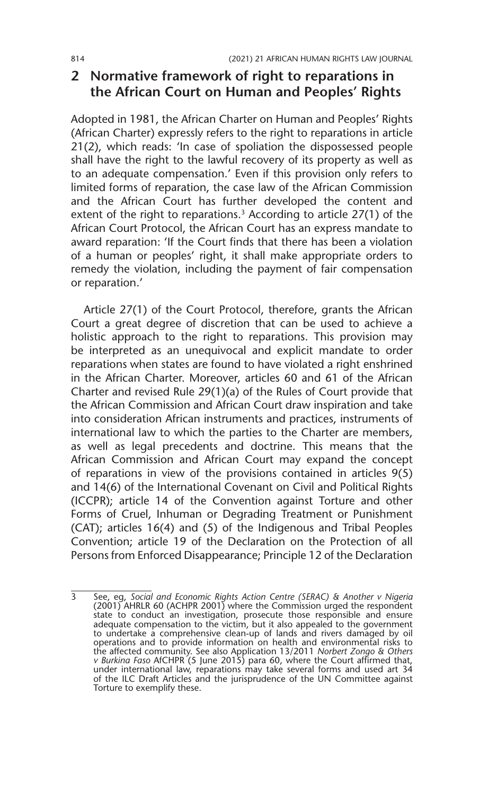### **2 Normative framework of right to reparations in the African Court on Human and Peoples' Rights**

Adopted in 1981, the African Charter on Human and Peoples' Rights (African Charter) expressly refers to the right to reparations in article 21(2), which reads: 'In case of spoliation the dispossessed people shall have the right to the lawful recovery of its property as well as to an adequate compensation.' Even if this provision only refers to limited forms of reparation, the case law of the African Commission and the African Court has further developed the content and extent of the right to reparations.<sup>3</sup> According to article  $27(1)$  of the African Court Protocol, the African Court has an express mandate to award reparation: 'If the Court finds that there has been a violation of a human or peoples' right, it shall make appropriate orders to remedy the violation, including the payment of fair compensation or reparation.'

Article 27(1) of the Court Protocol, therefore, grants the African Court a great degree of discretion that can be used to achieve a holistic approach to the right to reparations. This provision may be interpreted as an unequivocal and explicit mandate to order reparations when states are found to have violated a right enshrined in the African Charter. Moreover, articles 60 and 61 of the African Charter and revised Rule 29(1)(a) of the Rules of Court provide that the African Commission and African Court draw inspiration and take into consideration African instruments and practices, instruments of international law to which the parties to the Charter are members, as well as legal precedents and doctrine. This means that the African Commission and African Court may expand the concept of reparations in view of the provisions contained in articles 9(5) and 14(6) of the International Covenant on Civil and Political Rights (ICCPR); article 14 of the Convention against Torture and other Forms of Cruel, Inhuman or Degrading Treatment or Punishment (CAT); articles 16(4) and (5) of the Indigenous and Tribal Peoples Convention; article 19 of the Declaration on the Protection of all Persons from Enforced Disappearance; Principle 12 of the Declaration

<sup>3</sup> See, eg, *Social and Economic Rights Action Centre (SERAC) & Another v Nigeria* (2001) AHRLR 60 (ACHPR 2001) where the Commission urged the respondent state to conduct an investigation, prosecute those responsible and ensure adequate compensation to the victim, but it also appealed to the government to undertake a comprehensive clean-up of lands and rivers damaged by oil operations and to provide information on health and environmental risks to<br>the affected community. See also Application 13/2011 *Norbert Zongo & Others*<br>*v Burkina Faso* AfCHPR (5 June 2015) para 60, where the Court affirm under international law, reparations may take several forms and used art 34 of the ILC Draft Articles and the jurisprudence of the UN Committee against Torture to exemplify these.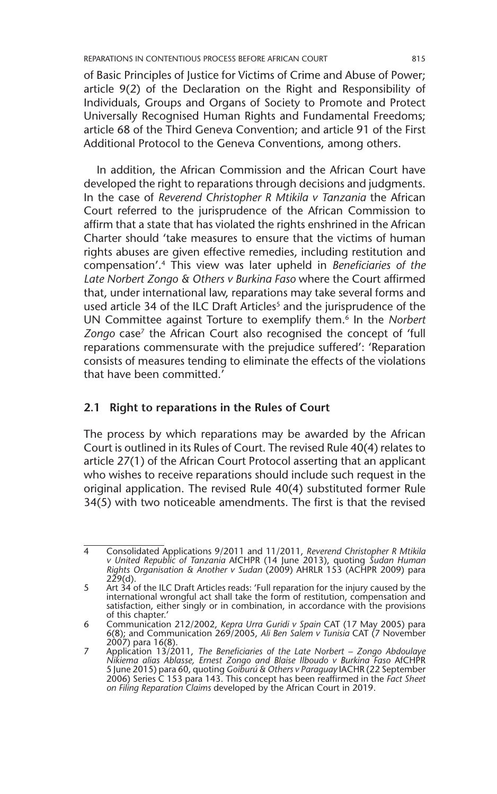of Basic Principles of Justice for Victims of Crime and Abuse of Power; article 9(2) of the Declaration on the Right and Responsibility of Individuals, Groups and Organs of Society to Promote and Protect Universally Recognised Human Rights and Fundamental Freedoms; article 68 of the Third Geneva Convention; and article 91 of the First Additional Protocol to the Geneva Conventions, among others.

In addition, the African Commission and the African Court have developed the right to reparations through decisions and judgments. In the case of *Reverend Christopher R Mtikila v Tanzania* the African Court referred to the jurisprudence of the African Commission to affirm that a state that has violated the rights enshrined in the African Charter should 'take measures to ensure that the victims of human rights abuses are given effective remedies, including restitution and compensation'.4 This view was later upheld in *Beneficiaries of the Late Norbert Zongo & Others v Burkina Faso* where the Court affirmed that, under international law, reparations may take several forms and used article 34 of the ILC Draft Articles<sup>5</sup> and the jurisprudence of the UN Committee against Torture to exemplify them.6 In the *Norbert*  Zongo case<sup>7</sup> the African Court also recognised the concept of 'full reparations commensurate with the prejudice suffered': 'Reparation consists of measures tending to eliminate the effects of the violations that have been committed.'

### **2.1 Right to reparations in the Rules of Court**

The process by which reparations may be awarded by the African Court is outlined in its Rules of Court. The revised Rule 40(4) relates to article 27(1) of the African Court Protocol asserting that an applicant who wishes to receive reparations should include such request in the original application. The revised Rule 40(4) substituted former Rule 34(5) with two noticeable amendments. The first is that the revised

<sup>4</sup> Consolidated Applications 9/2011 and 11/2011, *Reverend Christopher R Mtikila v United Republic of Tanzania* AfCHPR (14 June 2013), quoting *Sudan Human Rights Organisation & Another v Sudan* (2009) AHRLR 153 (ACHPR 2009) para  $229(d)$ .

<sup>5</sup> Art 34 of the ILC Draft Articles reads: 'Full reparation for the injury caused by the international wrongful act shall take the form of restitution, compensation and satisfaction, either singly or in combination, in accordance with the provisions of this chapter.'

<sup>6</sup> Communication 212/2002, *Kepra Urra Guridi v Spain* CAT (17 May 2005) para 6(8); and Communication 269/2005, *Ali Ben Salem v Tunisia* CAT (7 November

<sup>2007)</sup> para 16(8). 7 Application 13/2011, *The Beneficiaries of the Late Norbert – Zongo Abdoulaye Nikiema alias Ablasse, Ernest Zongo and Blaise Ilboudo v Burkina Faso* AfCHPR 5 June 2015) para 60, quoting *Goiburú & Others v Paraguay* IACHR (22 September 2006) Series C 153 para 143. This concept has been reaffirmed in the *Fact Sheet on Filing Reparation Claims* developed by the African Court in 2019.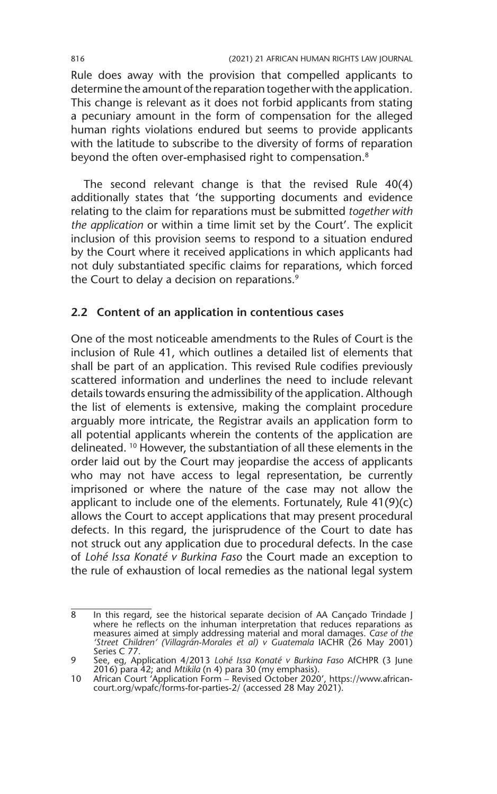Rule does away with the provision that compelled applicants to determine the amount of the reparation together with the application. This change is relevant as it does not forbid applicants from stating a pecuniary amount in the form of compensation for the alleged human rights violations endured but seems to provide applicants with the latitude to subscribe to the diversity of forms of reparation beyond the often over-emphasised right to compensation.<sup>8</sup>

The second relevant change is that the revised Rule 40(4) additionally states that 'the supporting documents and evidence relating to the claim for reparations must be submitted *together with the application* or within a time limit set by the Court'. The explicit inclusion of this provision seems to respond to a situation endured by the Court where it received applications in which applicants had not duly substantiated specific claims for reparations, which forced the Court to delay a decision on reparations.<sup>9</sup>

#### **2.2 Content of an application in contentious cases**

One of the most noticeable amendments to the Rules of Court is the inclusion of Rule 41, which outlines a detailed list of elements that shall be part of an application. This revised Rule codifies previously scattered information and underlines the need to include relevant details towards ensuring the admissibility of the application. Although the list of elements is extensive, making the complaint procedure arguably more intricate, the Registrar avails an application form to all potential applicants wherein the contents of the application are delineated. 10 However, the substantiation of all these elements in the order laid out by the Court may jeopardise the access of applicants who may not have access to legal representation, be currently imprisoned or where the nature of the case may not allow the applicant to include one of the elements. Fortunately, Rule 41(9)(c) allows the Court to accept applications that may present procedural defects. In this regard, the jurisprudence of the Court to date has not struck out any application due to procedural defects. In the case of *Lohé Issa Konaté v Burkina Faso* the Court made an exception to the rule of exhaustion of local remedies as the national legal system

<sup>8</sup> In this regard, see the historical separate decision of AA Cançado Trindade J where he reflects on the inhuman interpretation that reduces reparations as measures aimed at simply addressing material and moral damages. *Case of the 'Street Children' (Villagrán-Morales et al) v Guatemala* IACHR (26 May 2001) Series C 77.

<sup>9</sup> See, eg, Application 4/2013 *Lohé Issa Konaté v Burkina Faso* AfCHPR (3 June 2016) para 42; and *Mtikila* (n 4) para 30 (my emphasis).

<sup>10</sup> African Court 'Application Form – Revised October 2020', https://www.africancourt.org/wpafc/forms-for-parties-2/ (accessed 28 May 2021).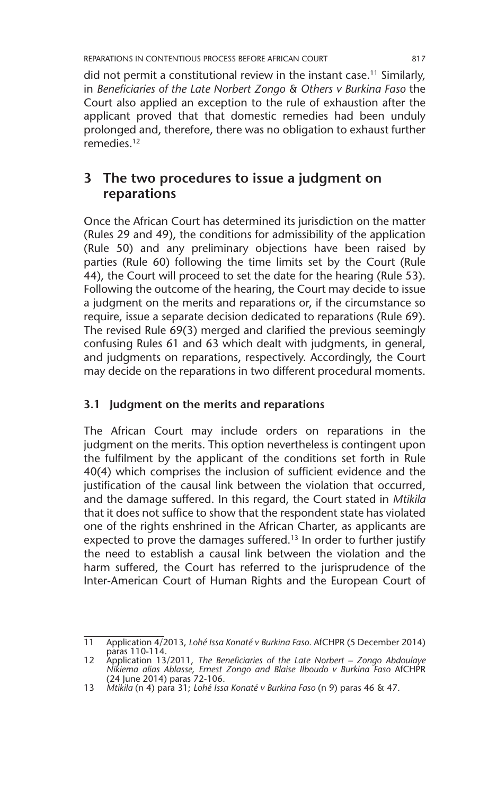did not permit a constitutional review in the instant case.<sup>11</sup> Similarly, in *Beneficiaries of the Late Norbert Zongo & Others v Burkina Faso* the Court also applied an exception to the rule of exhaustion after the applicant proved that that domestic remedies had been unduly prolonged and, therefore, there was no obligation to exhaust further remedies.12

### **3 The two procedures to issue a judgment on reparations**

Once the African Court has determined its jurisdiction on the matter (Rules 29 and 49), the conditions for admissibility of the application (Rule 50) and any preliminary objections have been raised by parties (Rule 60) following the time limits set by the Court (Rule 44), the Court will proceed to set the date for the hearing (Rule 53). Following the outcome of the hearing, the Court may decide to issue a judgment on the merits and reparations or, if the circumstance so require, issue a separate decision dedicated to reparations (Rule 69). The revised Rule 69(3) merged and clarified the previous seemingly confusing Rules 61 and 63 which dealt with judgments, in general, and judgments on reparations, respectively. Accordingly, the Court may decide on the reparations in two different procedural moments.

### **3.1 Judgment on the merits and reparations**

The African Court may include orders on reparations in the judgment on the merits. This option nevertheless is contingent upon the fulfilment by the applicant of the conditions set forth in Rule 40(4) which comprises the inclusion of sufficient evidence and the justification of the causal link between the violation that occurred, and the damage suffered. In this regard, the Court stated in *Mtikila*  that it does not suffice to show that the respondent state has violated one of the rights enshrined in the African Charter, as applicants are expected to prove the damages suffered.<sup>13</sup> In order to further justify the need to establish a causal link between the violation and the harm suffered, the Court has referred to the jurisprudence of the Inter-American Court of Human Rights and the European Court of

<sup>11</sup> Application 4/2013, *Lohé Issa Konaté v Burkina Faso.* AfCHPR (5 December 2014) paras 110-114.

<sup>12</sup> Application 13/2011, *The Beneficiaries of the Late Norbert – Zongo Abdoulaye Nikiema alias Ablasse, Ernest Zongo and Blaise Ilboudo v Burkina Faso* AfCHPR (24 June 2014) paras 72-106.

<sup>13</sup> *Mtikila* (n 4) para 31; *Lohé Issa Konaté v Burkina Faso* (n 9) paras 46 & 47.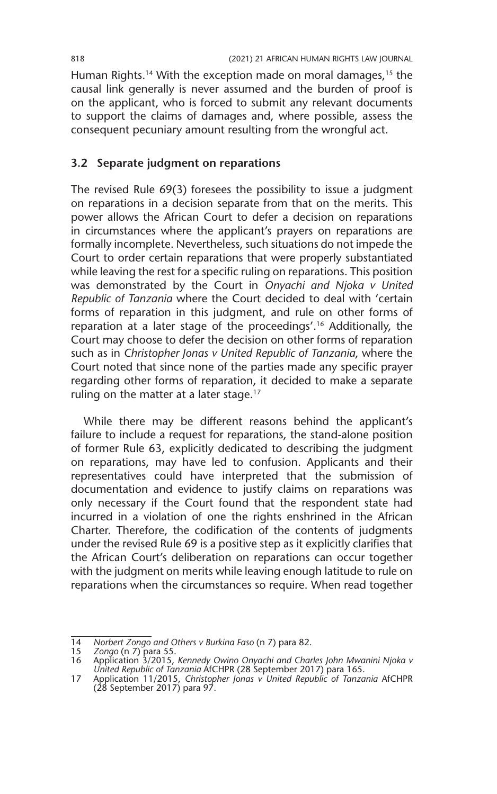Human Rights.<sup>14</sup> With the exception made on moral damages,<sup>15</sup> the causal link generally is never assumed and the burden of proof is on the applicant, who is forced to submit any relevant documents to support the claims of damages and, where possible, assess the consequent pecuniary amount resulting from the wrongful act.

### **3.2 Separate judgment on reparations**

The revised Rule 69(3) foresees the possibility to issue a judgment on reparations in a decision separate from that on the merits. This power allows the African Court to defer a decision on reparations in circumstances where the applicant's prayers on reparations are formally incomplete. Nevertheless, such situations do not impede the Court to order certain reparations that were properly substantiated while leaving the rest for a specific ruling on reparations. This position was demonstrated by the Court in *Onyachi and Njoka v United Republic of Tanzania* where the Court decided to deal with 'certain forms of reparation in this judgment, and rule on other forms of reparation at a later stage of the proceedings'.16 Additionally, the Court may choose to defer the decision on other forms of reparation such as in *Christopher Jonas v United Republic of Tanzania*, where the Court noted that since none of the parties made any specific prayer regarding other forms of reparation, it decided to make a separate ruling on the matter at a later stage.<sup>17</sup>

While there may be different reasons behind the applicant's failure to include a request for reparations, the stand-alone position of former Rule 63, explicitly dedicated to describing the judgment on reparations, may have led to confusion. Applicants and their representatives could have interpreted that the submission of documentation and evidence to justify claims on reparations was only necessary if the Court found that the respondent state had incurred in a violation of one the rights enshrined in the African Charter. Therefore, the codification of the contents of judgments under the revised Rule 69 is a positive step as it explicitly clarifies that the African Court's deliberation on reparations can occur together with the judgment on merits while leaving enough latitude to rule on reparations when the circumstances so require. When read together

<sup>14</sup> *Norbert Zongo and Others v Burkina Faso* (n 7) para 82.

<sup>15</sup> *Zongo* (n 7) para 55. 16 Application 3/2015, *Kennedy Owino Onyachi and Charles John Mwanini Njoka v United Republic of Tanzania* AfCHPR (28 September 2017) para 165.

<sup>17</sup> Application 11/2015, *Christopher Jonas v United Republic of Tanzania* AfCHPR (28 September 2017) para 97.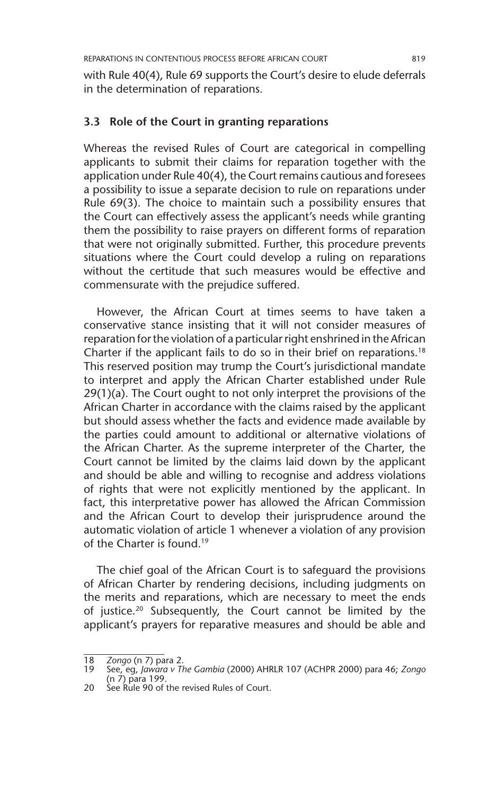with Rule 40(4), Rule 69 supports the Court's desire to elude deferrals in the determination of reparations.

#### **3.3 Role of the Court in granting reparations**

Whereas the revised Rules of Court are categorical in compelling applicants to submit their claims for reparation together with the application under Rule 40(4), the Court remains cautious and foresees a possibility to issue a separate decision to rule on reparations under Rule 69(3). The choice to maintain such a possibility ensures that the Court can effectively assess the applicant's needs while granting them the possibility to raise prayers on different forms of reparation that were not originally submitted. Further, this procedure prevents situations where the Court could develop a ruling on reparations without the certitude that such measures would be effective and commensurate with the prejudice suffered.

However, the African Court at times seems to have taken a conservative stance insisting that it will not consider measures of reparation for the violation of a particular right enshrined in the African Charter if the applicant fails to do so in their brief on reparations.<sup>18</sup> This reserved position may trump the Court's jurisdictional mandate to interpret and apply the African Charter established under Rule 29(1)(a). The Court ought to not only interpret the provisions of the African Charter in accordance with the claims raised by the applicant but should assess whether the facts and evidence made available by the parties could amount to additional or alternative violations of the African Charter. As the supreme interpreter of the Charter, the Court cannot be limited by the claims laid down by the applicant and should be able and willing to recognise and address violations of rights that were not explicitly mentioned by the applicant. In fact, this interpretative power has allowed the African Commission and the African Court to develop their jurisprudence around the automatic violation of article 1 whenever a violation of any provision of the Charter is found.19

The chief goal of the African Court is to safeguard the provisions of African Charter by rendering decisions, including judgments on the merits and reparations, which are necessary to meet the ends of justice.<sup>20</sup> Subsequently, the Court cannot be limited by the applicant's prayers for reparative measures and should be able and

<sup>18</sup> *Zongo* (n 7) para 2.

<sup>19</sup> See, eg, *Jawara v The Gambia* (2000) AHRLR 107 (ACHPR 2000) para 46; *Zongo*  (n 7) para 199.

<sup>20</sup> See Rule 90 of the revised Rules of Court.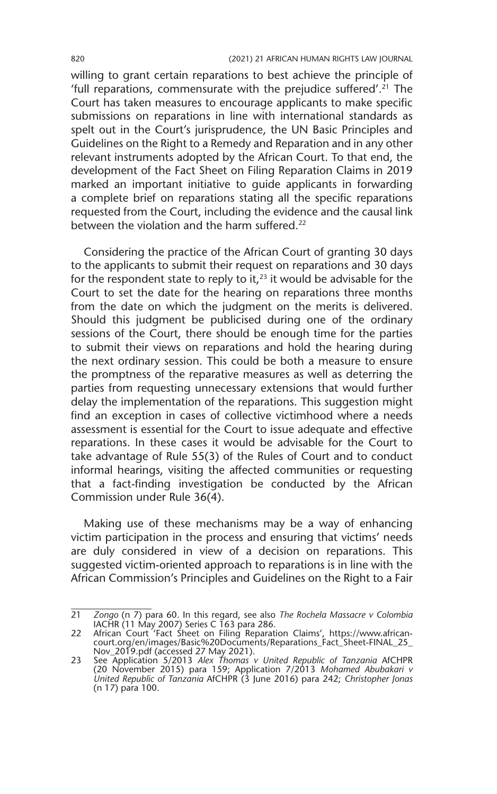willing to grant certain reparations to best achieve the principle of 'full reparations, commensurate with the prejudice suffered'.<sup>21</sup> The Court has taken measures to encourage applicants to make specific submissions on reparations in line with international standards as spelt out in the Court's jurisprudence, the UN Basic Principles and Guidelines on the Right to a Remedy and Reparation and in any other relevant instruments adopted by the African Court. To that end, the development of the Fact Sheet on Filing Reparation Claims in 2019 marked an important initiative to guide applicants in forwarding a complete brief on reparations stating all the specific reparations requested from the Court, including the evidence and the causal link between the violation and the harm suffered.22

Considering the practice of the African Court of granting 30 days to the applicants to submit their request on reparations and 30 days for the respondent state to reply to it, $23$  it would be advisable for the Court to set the date for the hearing on reparations three months from the date on which the judgment on the merits is delivered. Should this judgment be publicised during one of the ordinary sessions of the Court, there should be enough time for the parties to submit their views on reparations and hold the hearing during the next ordinary session. This could be both a measure to ensure the promptness of the reparative measures as well as deterring the parties from requesting unnecessary extensions that would further delay the implementation of the reparations. This suggestion might find an exception in cases of collective victimhood where a needs assessment is essential for the Court to issue adequate and effective reparations. In these cases it would be advisable for the Court to take advantage of Rule 55(3) of the Rules of Court and to conduct informal hearings, visiting the affected communities or requesting that a fact-finding investigation be conducted by the African Commission under Rule 36(4).

Making use of these mechanisms may be a way of enhancing victim participation in the process and ensuring that victims' needs are duly considered in view of a decision on reparations. This suggested victim-oriented approach to reparations is in line with the African Commission's Principles and Guidelines on the Right to a Fair

<sup>21</sup> *Zongo* (n 7) para 60. In this regard, see also *The Rochela Massacre v Colombia*  IACHR (11 May 2007) Series C 163 para 286.

<sup>22</sup> African Court 'Fact Sheet on Filing Reparation Claims', https://www.africancourt.org/en/images/Basic%20Documents/Reparations\_Fact\_Sheet-FINAL\_25\_ Nov\_2019.pdf (accessed 27 May 2021). 23 See Application 5/2013 *Alex Thomas v United Republic of Tanzania* AfCHPR

<sup>(20</sup> November 2015) para 159; Application 7/2013 *Mohamed Abubakari v United Republic of Tanzania* AfCHPR (3 June 2016) para 242; *Christopher Jonas*  (n 17) para 100.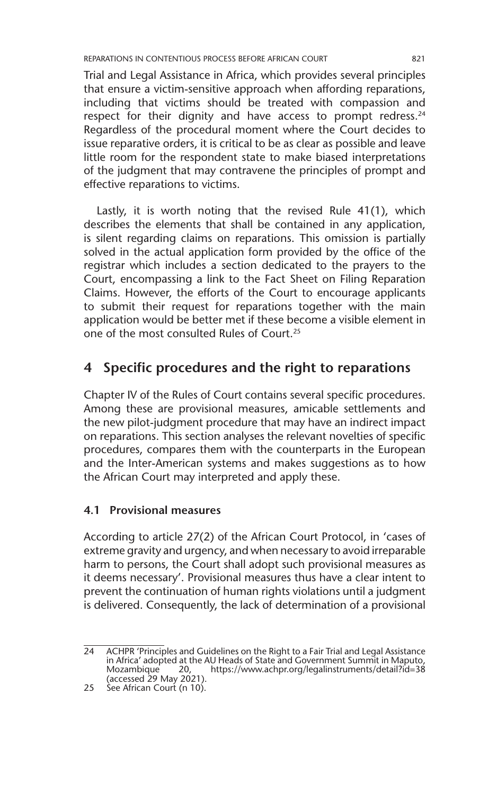Trial and Legal Assistance in Africa, which provides several principles that ensure a victim-sensitive approach when affording reparations, including that victims should be treated with compassion and respect for their dignity and have access to prompt redress.<sup>24</sup> Regardless of the procedural moment where the Court decides to issue reparative orders, it is critical to be as clear as possible and leave little room for the respondent state to make biased interpretations of the judgment that may contravene the principles of prompt and effective reparations to victims.

Lastly, it is worth noting that the revised Rule 41(1), which describes the elements that shall be contained in any application, is silent regarding claims on reparations. This omission is partially solved in the actual application form provided by the office of the registrar which includes a section dedicated to the prayers to the Court, encompassing a link to the Fact Sheet on Filing Reparation Claims. However, the efforts of the Court to encourage applicants to submit their request for reparations together with the main application would be better met if these become a visible element in one of the most consulted Rules of Court.25

### **4 Specific procedures and the right to reparations**

Chapter IV of the Rules of Court contains several specific procedures. Among these are provisional measures, amicable settlements and the new pilot-judgment procedure that may have an indirect impact on reparations. This section analyses the relevant novelties of specific procedures, compares them with the counterparts in the European and the Inter-American systems and makes suggestions as to how the African Court may interpreted and apply these.

### **4.1 Provisional measures**

According to article 27(2) of the African Court Protocol, in 'cases of extreme gravity and urgency, and when necessary to avoid irreparable harm to persons, the Court shall adopt such provisional measures as it deems necessary'. Provisional measures thus have a clear intent to prevent the continuation of human rights violations until a judgment is delivered. Consequently, the lack of determination of a provisional

<sup>24</sup> ACHPR 'Principles and Guidelines on the Right to a Fair Trial and Legal Assistance in Africa' adopted at the AU Heads of State and Government Summit in Maputo, https://www.achpr.org/legalinstruments/detail?id=38 Mozambique 20,<br>(accessed 29 May 2021).

<sup>25</sup> See African Court (n 10).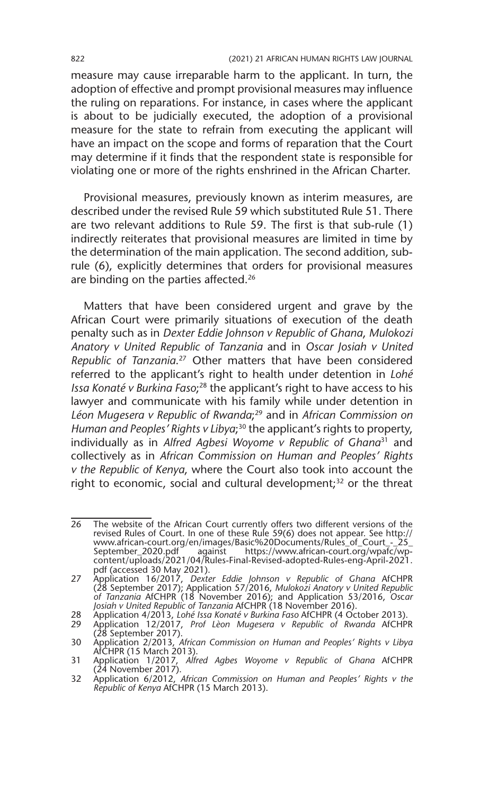measure may cause irreparable harm to the applicant. In turn, the adoption of effective and prompt provisional measures may influence the ruling on reparations. For instance, in cases where the applicant is about to be judicially executed, the adoption of a provisional measure for the state to refrain from executing the applicant will have an impact on the scope and forms of reparation that the Court may determine if it finds that the respondent state is responsible for violating one or more of the rights enshrined in the African Charter.

Provisional measures, previously known as interim measures, are described under the revised Rule 59 which substituted Rule 51. There are two relevant additions to Rule 59. The first is that sub-rule (1) indirectly reiterates that provisional measures are limited in time by the determination of the main application. The second addition, subrule (6), explicitly determines that orders for provisional measures are binding on the parties affected.<sup>26</sup>

Matters that have been considered urgent and grave by the African Court were primarily situations of execution of the death penalty such as in *Dexter Eddie Johnson v Republic of Ghana*, *Mulokozi Anatory v United Republic of Tanzania* and in *Oscar Josiah v United Republic of Tanzania*. 27 Other matters that have been considered referred to the applicant's right to health under detention in *Lohé*  Issa Konaté v Burkina Faso;<sup>28</sup> the applicant's right to have access to his lawyer and communicate with his family while under detention in *Léon Mugesera v Republic of Rwanda*; 29 and in *African Commission on*  Human and Peoples' Rights v Libya;<sup>30</sup> the applicant's rights to property, individually as in *Alfred Agbesi Woyome v Republic of Ghana*31 and collectively as in *African Commission on Human and Peoples' Rights v the Republic of Kenya*, where the Court also took into account the right to economic, social and cultural development;<sup>32</sup> or the threat

<sup>26</sup> The website of the African Court currently offers two different versions of the revised Rules of Court. In one of these Rule 59(6) does not appear. See http:// www.african-court.org/en/images/Basic%20Documents/Rules\_of\_Court\_-\_25\_ September\_2020.pdf against https://www.african-court.org/wpafc/wpcontent/uploads/2021/04/Rules-Final-Revised-adopted-Rules-eng-April-2021. pdf (accessed 30 May 2021).

<sup>27</sup> Application 16/2017, *Dexter Eddie Johnson v Republic of Ghana* AfCHPR (28 September 2017); Application 57/2016, *Mulokozi Anatory v United Republic of Tanzania* AfCHPR (18 November 2016); and Application 53/2016, *Os*c*ar Josiah v United Republic of Tanzania* AfCHPR (18 November 2016).

<sup>28</sup> Application 4/2013, *Lohé Issa Konaté v Burkina Faso* AfCHPR (4 October 2013).

<sup>29</sup> Application 12/2017, *Prof Lèon Mugesera v Republic of Rwanda* AfCHPR (28 September 2017).

<sup>30</sup> Application 2/2013, *African Commission on Human and Peoples' Rights v Libya*  AfCHPR (15 March 2013).

<sup>31</sup> Application 1/2017, *Alfred Agbes Woyome v Republic of Ghana* AfCHPR (24 November 2017).

<sup>32</sup> Application 6/2012, *African Commission on Human and Peoples' Rights v the Republic of Kenya* AfCHPR (15 March 2013).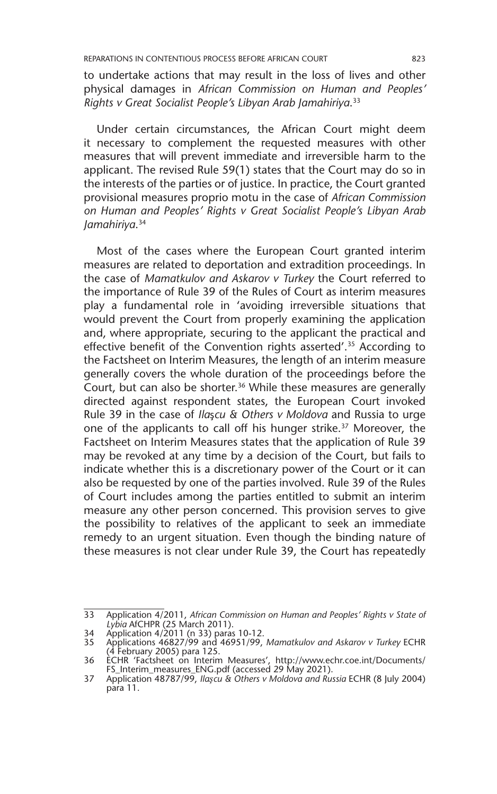to undertake actions that may result in the loss of lives and other physical damages in *African Commission on Human and Peoples' Rights v Great Socialist People's Libyan Arab Jamahiriya*. 33

Under certain circumstances, the African Court might deem it necessary to complement the requested measures with other measures that will prevent immediate and irreversible harm to the applicant. The revised Rule 59(1) states that the Court may do so in the interests of the parties or of justice. In practice, the Court granted provisional measures proprio motu in the case of *African Commission on Human and Peoples' Rights v Great Socialist People's Libyan Arab Jamahiriya*. 34

Most of the cases where the European Court granted interim measures are related to deportation and extradition proceedings. In the case of *Mamatkulov and Askarov v Turkey* the Court referred to the importance of Rule 39 of the Rules of Court as interim measures play a fundamental role in 'avoiding irreversible situations that would prevent the Court from properly examining the application and, where appropriate, securing to the applicant the practical and effective benefit of the Convention rights asserted'.<sup>35</sup> According to the Factsheet on Interim Measures, the length of an interim measure generally covers the whole duration of the proceedings before the Court, but can also be shorter.<sup>36</sup> While these measures are generally directed against respondent states, the European Court invoked Rule 39 in the case of *Ila*ş*cu & Others v Moldova* and Russia to urge one of the applicants to call off his hunger strike.<sup>37</sup> Moreover, the Factsheet on Interim Measures states that the application of Rule 39 may be revoked at any time by a decision of the Court, but fails to indicate whether this is a discretionary power of the Court or it can also be requested by one of the parties involved. Rule 39 of the Rules of Court includes among the parties entitled to submit an interim measure any other person concerned. This provision serves to give the possibility to relatives of the applicant to seek an immediate remedy to an urgent situation. Even though the binding nature of these measures is not clear under Rule 39, the Court has repeatedly

<sup>33</sup> Application 4/2011, *African Commission on Human and Peoples' Rights v State of Lybia* AfCHPR (25 March 2011).

<sup>34</sup> Application 4/2011 (n 33) paras 10-12.

<sup>35</sup> Applications 46827/99 and 46951/99, *Mamatkulov and Askarov v Turkey* ECHR (4 February 2005) para 125.

<sup>36</sup> ECHR 'Factsheet on Interim Measures', http://www.echr.coe.int/Documents/ FS\_Interim\_measures\_ENG.pdf (accessed 29 May 2021). 37 Application 48787/99, *Ilaşcu & Others v Moldova and Russia* ECHR (8 July 2004)

para 11.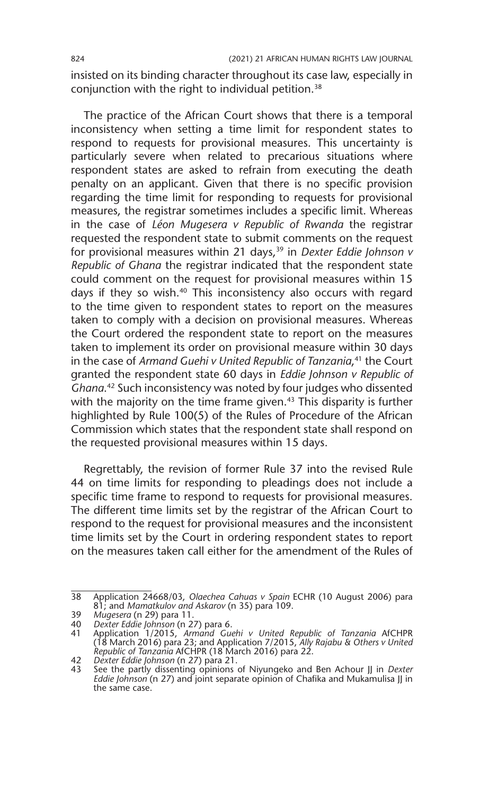insisted on its binding character throughout its case law, especially in conjunction with the right to individual petition.38

The practice of the African Court shows that there is a temporal inconsistency when setting a time limit for respondent states to respond to requests for provisional measures. This uncertainty is particularly severe when related to precarious situations where respondent states are asked to refrain from executing the death penalty on an applicant. Given that there is no specific provision regarding the time limit for responding to requests for provisional measures, the registrar sometimes includes a specific limit. Whereas in the case of *Léon Mugesera v Republic of Rwanda* the registrar requested the respondent state to submit comments on the request for provisional measures within 21 days,<sup>39</sup> in *Dexter Eddie Johnson v Republic of Ghana* the registrar indicated that the respondent state could comment on the request for provisional measures within 15 days if they so wish.40 This inconsistency also occurs with regard to the time given to respondent states to report on the measures taken to comply with a decision on provisional measures. Whereas the Court ordered the respondent state to report on the measures taken to implement its order on provisional measure within 30 days in the case of *Armand Guehi v United Republic of Tanzania*, 41 the Court granted the respondent state 60 days in *Eddie Johnson v Republic of Ghana*. 42 Such inconsistency was noted by four judges who dissented with the majority on the time frame given.<sup>43</sup> This disparity is further highlighted by Rule 100(5) of the Rules of Procedure of the African Commission which states that the respondent state shall respond on the requested provisional measures within 15 days.

Regrettably, the revision of former Rule 37 into the revised Rule 44 on time limits for responding to pleadings does not include a specific time frame to respond to requests for provisional measures. The different time limits set by the registrar of the African Court to respond to the request for provisional measures and the inconsistent time limits set by the Court in ordering respondent states to report on the measures taken call either for the amendment of the Rules of

<sup>38</sup> Application 24668/03, *Olaechea Cahuas v Spain* ECHR (10 August 2006) para 81; and *Mamatkulov and Askarov* (n 35) para 109.

<sup>39</sup> *Mugesera* (n 29) para 11.

<sup>40</sup> *Dexter Eddie Johnson* (n 27) para 6.

<sup>41</sup> Application 1/2015, *Armand Guehi v United Republic of Tanzania* AfCHPR (18 March 2016) para 23; and Application 7/2015, *Ally Rajabu & Others v United Republic of Tanzania* AfCHPR (18 March 2016) para 22.

<sup>42</sup> *Dexter Eddie Johnson* (n 27) para 21.

<sup>43</sup> See the partly dissenting opinions of Niyungeko and Ben Achour JJ in *Dexter Eddie Johnson* (n 27) and joint separate opinion of Chafika and Mukamulisa JJ in the same case.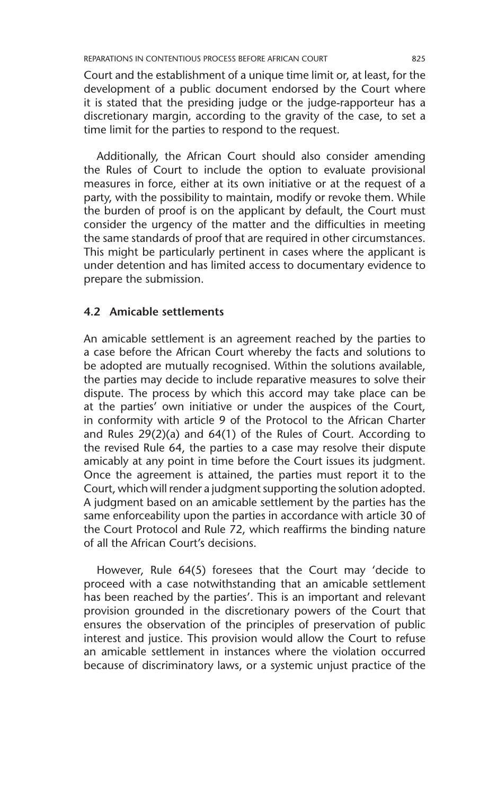Court and the establishment of a unique time limit or, at least, for the development of a public document endorsed by the Court where it is stated that the presiding judge or the judge-rapporteur has a discretionary margin, according to the gravity of the case, to set a time limit for the parties to respond to the request.

Additionally, the African Court should also consider amending the Rules of Court to include the option to evaluate provisional measures in force, either at its own initiative or at the request of a party, with the possibility to maintain, modify or revoke them. While the burden of proof is on the applicant by default, the Court must consider the urgency of the matter and the difficulties in meeting the same standards of proof that are required in other circumstances. This might be particularly pertinent in cases where the applicant is under detention and has limited access to documentary evidence to prepare the submission.

#### **4.2 Amicable settlements**

An amicable settlement is an agreement reached by the parties to a case before the African Court whereby the facts and solutions to be adopted are mutually recognised. Within the solutions available, the parties may decide to include reparative measures to solve their dispute. The process by which this accord may take place can be at the parties' own initiative or under the auspices of the Court, in conformity with article 9 of the Protocol to the African Charter and Rules 29(2)(a) and 64(1) of the Rules of Court. According to the revised Rule 64, the parties to a case may resolve their dispute amicably at any point in time before the Court issues its judgment. Once the agreement is attained, the parties must report it to the Court, which will render a judgment supporting the solution adopted. A judgment based on an amicable settlement by the parties has the same enforceability upon the parties in accordance with article 30 of the Court Protocol and Rule 72, which reaffirms the binding nature of all the African Court's decisions.

However, Rule 64(5) foresees that the Court may 'decide to proceed with a case notwithstanding that an amicable settlement has been reached by the parties'. This is an important and relevant provision grounded in the discretionary powers of the Court that ensures the observation of the principles of preservation of public interest and justice. This provision would allow the Court to refuse an amicable settlement in instances where the violation occurred because of discriminatory laws, or a systemic unjust practice of the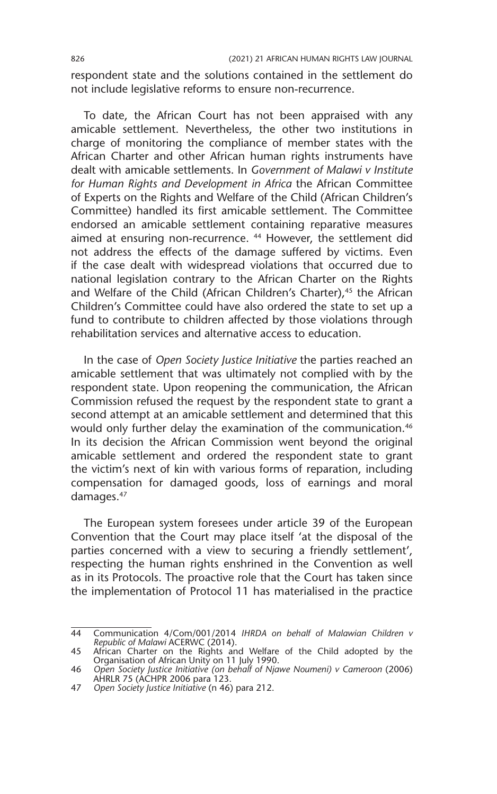respondent state and the solutions contained in the settlement do not include legislative reforms to ensure non-recurrence.

To date, the African Court has not been appraised with any amicable settlement. Nevertheless, the other two institutions in charge of monitoring the compliance of member states with the African Charter and other African human rights instruments have dealt with amicable settlements. In *Government of Malawi v Institute for Human Rights and Development in Africa* the African Committee of Experts on the Rights and Welfare of the Child (African Children's Committee) handled its first amicable settlement. The Committee endorsed an amicable settlement containing reparative measures aimed at ensuring non-recurrence. 44 However, the settlement did not address the effects of the damage suffered by victims. Even if the case dealt with widespread violations that occurred due to national legislation contrary to the African Charter on the Rights and Welfare of the Child (African Children's Charter),<sup>45</sup> the African Children's Committee could have also ordered the state to set up a fund to contribute to children affected by those violations through rehabilitation services and alternative access to education.

In the case of *Open Society Justice Initiative* the parties reached an amicable settlement that was ultimately not complied with by the respondent state. Upon reopening the communication, the African Commission refused the request by the respondent state to grant a second attempt at an amicable settlement and determined that this would only further delay the examination of the communication.<sup>46</sup> In its decision the African Commission went beyond the original amicable settlement and ordered the respondent state to grant the victim's next of kin with various forms of reparation, including compensation for damaged goods, loss of earnings and moral damages.<sup>47</sup>

The European system foresees under article 39 of the European Convention that the Court may place itself 'at the disposal of the parties concerned with a view to securing a friendly settlement', respecting the human rights enshrined in the Convention as well as in its Protocols. The proactive role that the Court has taken since the implementation of Protocol 11 has materialised in the practice

<sup>44</sup> Communication 4/Com/001/2014 *IHRDA on behalf of Malawian Children v* 

*Republic of Malawi* ACERWC (2014). 45 African Charter on the Rights and Welfare of the Child adopted by the Organisation of African Unity on 11 July 1990.

<sup>46</sup> *Open Society Justice Initiative (on behalf of Njawe Noumeni) v Cameroon* (2006) AHRLR 75 (ACHPR 2006 para 123.

<sup>47</sup> *Open Society Justice Initiative* (n 46) para 212.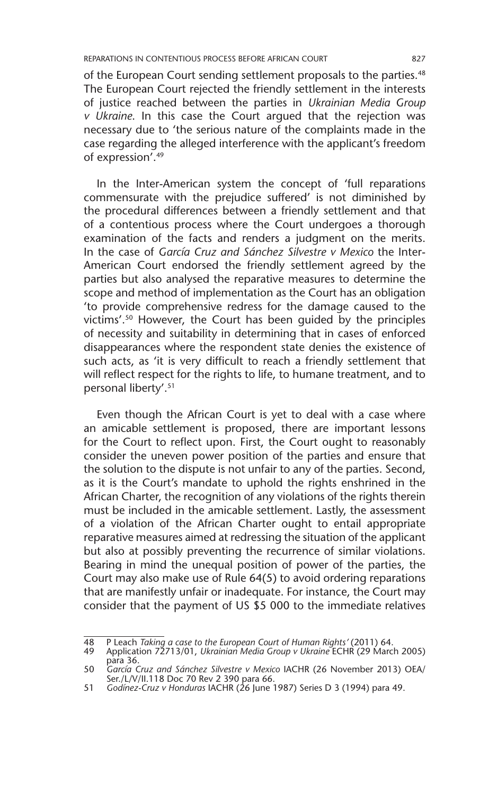of the European Court sending settlement proposals to the parties.<sup>48</sup> The European Court rejected the friendly settlement in the interests of justice reached between the parties in *Ukrainian Media Group v Ukraine*. In this case the Court argued that the rejection was necessary due to 'the serious nature of the complaints made in the case regarding the alleged interference with the applicant's freedom of expression'.49

In the Inter-American system the concept of 'full reparations commensurate with the prejudice suffered' is not diminished by the procedural differences between a friendly settlement and that of a contentious process where the Court undergoes a thorough examination of the facts and renders a judgment on the merits. In the case of *García Cruz and Sánchez Silvestre v Mexico* the Inter-American Court endorsed the friendly settlement agreed by the parties but also analysed the reparative measures to determine the scope and method of implementation as the Court has an obligation 'to provide comprehensive redress for the damage caused to the victims'.50 However, the Court has been guided by the principles of necessity and suitability in determining that in cases of enforced disappearances where the respondent state denies the existence of such acts, as 'it is very difficult to reach a friendly settlement that will reflect respect for the rights to life, to humane treatment, and to personal liberty'.51

Even though the African Court is yet to deal with a case where an amicable settlement is proposed, there are important lessons for the Court to reflect upon. First, the Court ought to reasonably consider the uneven power position of the parties and ensure that the solution to the dispute is not unfair to any of the parties. Second, as it is the Court's mandate to uphold the rights enshrined in the African Charter, the recognition of any violations of the rights therein must be included in the amicable settlement. Lastly, the assessment of a violation of the African Charter ought to entail appropriate reparative measures aimed at redressing the situation of the applicant but also at possibly preventing the recurrence of similar violations. Bearing in mind the unequal position of power of the parties, the Court may also make use of Rule 64(5) to avoid ordering reparations that are manifestly unfair or inadequate. For instance, the Court may consider that the payment of US \$5 000 to the immediate relatives

51 *Godínez-Cruz v Honduras* IACHR (26 June 1987) Series D 3 (1994) para 49.

<sup>48</sup> P Leach *Taking a case to the European Court of Human Rights'* (2011) 64. 49 Application 72713/01, *Ukrainian Media Group v Ukraine* ECHR (29 March 2005)

para 36.

<sup>50</sup> *García Cruz and Sánchez Silvestre v Mexico* IACHR (26 November 2013) OEA/ Ser./L/V/II.118 Doc 70 Rev 2 390 para 66.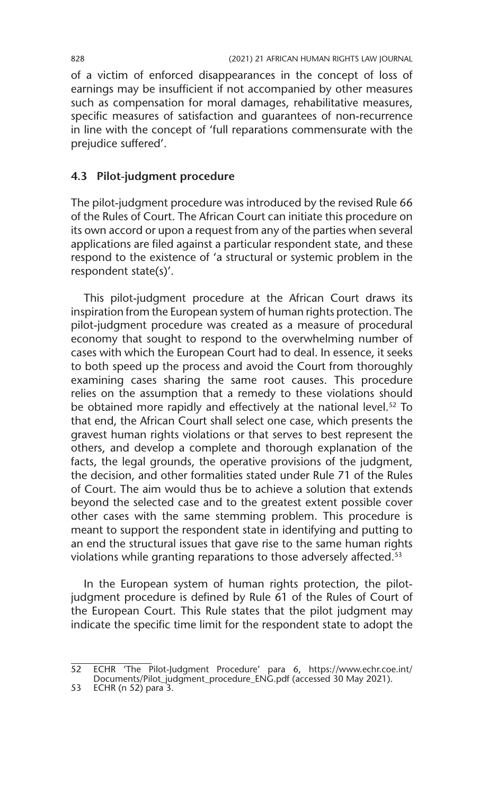of a victim of enforced disappearances in the concept of loss of earnings may be insufficient if not accompanied by other measures such as compensation for moral damages, rehabilitative measures, specific measures of satisfaction and guarantees of non-recurrence in line with the concept of 'full reparations commensurate with the prejudice suffered'.

### **4.3 Pilot-judgment procedure**

The pilot-judgment procedure was introduced by the revised Rule 66 of the Rules of Court. The African Court can initiate this procedure on its own accord or upon a request from any of the parties when several applications are filed against a particular respondent state, and these respond to the existence of 'a structural or systemic problem in the respondent state(s)'.

This pilot-judgment procedure at the African Court draws its inspiration from the European system of human rights protection. The pilot-judgment procedure was created as a measure of procedural economy that sought to respond to the overwhelming number of cases with which the European Court had to deal. In essence, it seeks to both speed up the process and avoid the Court from thoroughly examining cases sharing the same root causes. This procedure relies on the assumption that a remedy to these violations should be obtained more rapidly and effectively at the national level.<sup>52</sup> To that end, the African Court shall select one case, which presents the gravest human rights violations or that serves to best represent the others, and develop a complete and thorough explanation of the facts, the legal grounds, the operative provisions of the judgment, the decision, and other formalities stated under Rule 71 of the Rules of Court. The aim would thus be to achieve a solution that extends beyond the selected case and to the greatest extent possible cover other cases with the same stemming problem. This procedure is meant to support the respondent state in identifying and putting to an end the structural issues that gave rise to the same human rights violations while granting reparations to those adversely affected.<sup>53</sup>

In the European system of human rights protection, the pilotjudgment procedure is defined by Rule 61 of the Rules of Court of the European Court. This Rule states that the pilot judgment may indicate the specific time limit for the respondent state to adopt the

<sup>52</sup> ECHR 'The Pilot-Judgment Procedure' para 6, https://www.echr.coe.int/

Documents/Pilot\_judgment\_procedure\_ENG.pdf (accessed 30 May 2021).

<sup>53</sup> ECHR (n 52) para 3.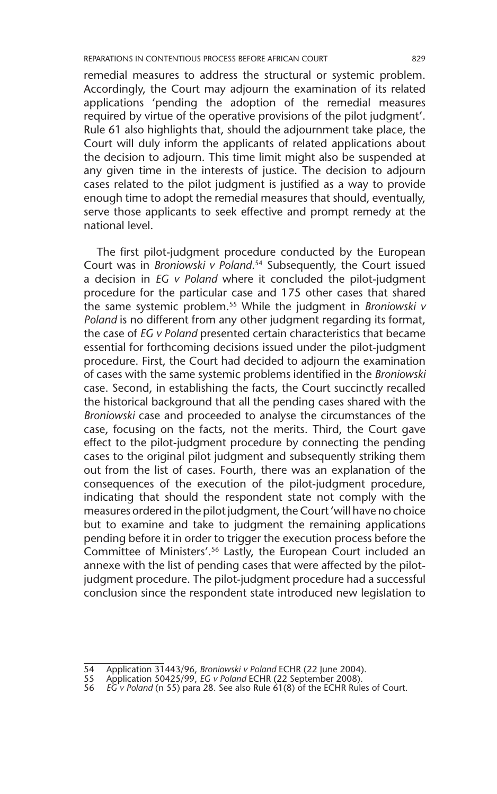remedial measures to address the structural or systemic problem. Accordingly, the Court may adjourn the examination of its related applications 'pending the adoption of the remedial measures required by virtue of the operative provisions of the pilot judgment'. Rule 61 also highlights that, should the adjournment take place, the Court will duly inform the applicants of related applications about the decision to adjourn. This time limit might also be suspended at any given time in the interests of justice. The decision to adjourn cases related to the pilot judgment is justified as a way to provide enough time to adopt the remedial measures that should, eventually, serve those applicants to seek effective and prompt remedy at the national level.

The first pilot-judgment procedure conducted by the European Court was in *Broniowski v Poland*. 54 Subsequently, the Court issued a decision in *EG v Poland* where it concluded the pilot-judgment procedure for the particular case and 175 other cases that shared the same systemic problem.55 While the judgment in *Broniowski v*  Poland is no different from any other judgment regarding its format, the case of *EG v Poland* presented certain characteristics that became essential for forthcoming decisions issued under the pilot-judgment procedure. First, the Court had decided to adjourn the examination of cases with the same systemic problems identified in the *Broniowski* case. Second, in establishing the facts, the Court succinctly recalled the historical background that all the pending cases shared with the *Broniowski* case and proceeded to analyse the circumstances of the case, focusing on the facts, not the merits. Third, the Court gave effect to the pilot-judgment procedure by connecting the pending cases to the original pilot judgment and subsequently striking them out from the list of cases. Fourth, there was an explanation of the consequences of the execution of the pilot-judgment procedure, indicating that should the respondent state not comply with the measures ordered in the pilot judgment, the Court 'will have no choice but to examine and take to judgment the remaining applications pending before it in order to trigger the execution process before the Committee of Ministers'.56 Lastly, the European Court included an annexe with the list of pending cases that were affected by the pilotjudgment procedure. The pilot-judgment procedure had a successful conclusion since the respondent state introduced new legislation to

<sup>54</sup> Application 31443/96, *Broniowski v Poland* ECHR (22 June 2004).

<sup>55</sup> Application 50425/99, *EG v Poland* ECHR (22 September 2008).

<sup>56</sup> *EG v Poland* (n 55) para 28. See also Rule 61(8) of the ECHR Rules of Court.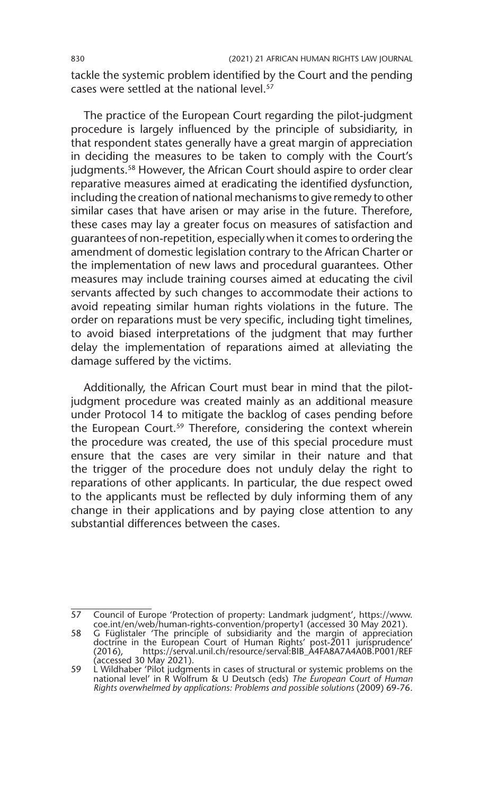tackle the systemic problem identified by the Court and the pending cases were settled at the national level.<sup>57</sup>

The practice of the European Court regarding the pilot-judgment procedure is largely influenced by the principle of subsidiarity, in that respondent states generally have a great margin of appreciation in deciding the measures to be taken to comply with the Court's judgments.<sup>58</sup> However, the African Court should aspire to order clear reparative measures aimed at eradicating the identified dysfunction, including the creation of national mechanisms to give remedy to other similar cases that have arisen or may arise in the future. Therefore, these cases may lay a greater focus on measures of satisfaction and guarantees of non-repetition, especially when it comes to ordering the amendment of domestic legislation contrary to the African Charter or the implementation of new laws and procedural guarantees. Other measures may include training courses aimed at educating the civil servants affected by such changes to accommodate their actions to avoid repeating similar human rights violations in the future. The order on reparations must be very specific, including tight timelines, to avoid biased interpretations of the judgment that may further delay the implementation of reparations aimed at alleviating the damage suffered by the victims.

Additionally, the African Court must bear in mind that the pilotjudgment procedure was created mainly as an additional measure under Protocol 14 to mitigate the backlog of cases pending before the European Court.<sup>59</sup> Therefore, considering the context wherein the procedure was created, the use of this special procedure must ensure that the cases are very similar in their nature and that the trigger of the procedure does not unduly delay the right to reparations of other applicants. In particular, the due respect owed to the applicants must be reflected by duly informing them of any change in their applications and by paying close attention to any substantial differences between the cases.

<sup>57</sup> Council of Europe 'Protection of property: Landmark judgment', https://www. coe.int/en/web/human-rights-convention/property1 (accessed 30 May 2021).

<sup>58</sup> G Füglistaler 'The principle of subsidiarity and the margin of appreciation doctrine in the European Court of Human Rights' post-2011 jurisprudence' (2016), https://serval.unil.ch/resource/serval:BIB\_A4FA8A7A4A0B.P001/REF (accessed 30 May 2021).

<sup>59</sup> L Wildhaber 'Pilot judgments in cases of structural or systemic problems on the national level' in R Wolfrum & U Deutsch (eds) *The European Court of Human Rights overwhelmed by applications: Problems and possible solutions* (2009) 69-76.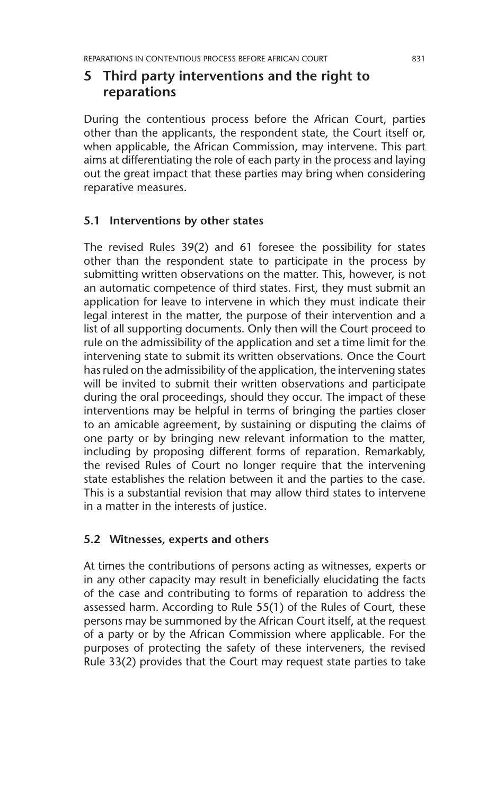### **5 Third party interventions and the right to reparations**

During the contentious process before the African Court, parties other than the applicants, the respondent state, the Court itself or, when applicable, the African Commission, may intervene. This part aims at differentiating the role of each party in the process and laying out the great impact that these parties may bring when considering reparative measures.

### **5.1 Interventions by other states**

The revised Rules 39(2) and 61 foresee the possibility for states other than the respondent state to participate in the process by submitting written observations on the matter. This, however, is not an automatic competence of third states. First, they must submit an application for leave to intervene in which they must indicate their legal interest in the matter, the purpose of their intervention and a list of all supporting documents. Only then will the Court proceed to rule on the admissibility of the application and set a time limit for the intervening state to submit its written observations. Once the Court has ruled on the admissibility of the application, the intervening states will be invited to submit their written observations and participate during the oral proceedings, should they occur. The impact of these interventions may be helpful in terms of bringing the parties closer to an amicable agreement, by sustaining or disputing the claims of one party or by bringing new relevant information to the matter, including by proposing different forms of reparation. Remarkably, the revised Rules of Court no longer require that the intervening state establishes the relation between it and the parties to the case. This is a substantial revision that may allow third states to intervene in a matter in the interests of justice.

### **5.2 Witnesses, experts and others**

At times the contributions of persons acting as witnesses, experts or in any other capacity may result in beneficially elucidating the facts of the case and contributing to forms of reparation to address the assessed harm. According to Rule 55(1) of the Rules of Court, these persons may be summoned by the African Court itself, at the request of a party or by the African Commission where applicable. For the purposes of protecting the safety of these interveners, the revised Rule 33(2) provides that the Court may request state parties to take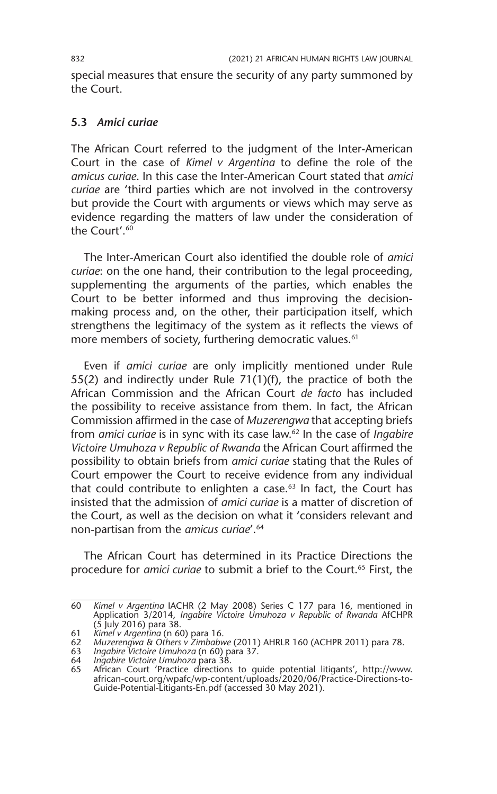special measures that ensure the security of any party summoned by the Court.

#### **5.3** *Amici curiae*

The African Court referred to the judgment of the Inter-American Court in the case of *Kimel v Argentina* to define the role of the *amicus curiae*. In this case the Inter-American Court stated that *amici curiae* are 'third parties which are not involved in the controversy but provide the Court with arguments or views which may serve as evidence regarding the matters of law under the consideration of the Court'. $60$ 

The Inter-American Court also identified the double role of *amici curiae*: on the one hand, their contribution to the legal proceeding, supplementing the arguments of the parties, which enables the Court to be better informed and thus improving the decisionmaking process and, on the other, their participation itself, which strengthens the legitimacy of the system as it reflects the views of more members of society, furthering democratic values.<sup>61</sup>

Even if *amici curiae* are only implicitly mentioned under Rule 55(2) and indirectly under Rule 71(1)(f), the practice of both the African Commission and the African Court *de facto* has included the possibility to receive assistance from them. In fact, the African Commission affirmed in the case of *Muzerengwa* that accepting briefs from *amici curiae* is in sync with its case law.62 In the case of *Ingabire Victoire Umuhoza v Republic of Rwanda* the African Court affirmed the possibility to obtain briefs from *amici curiae* stating that the Rules of Court empower the Court to receive evidence from any individual that could contribute to enlighten a case.<sup>63</sup> In fact, the Court has insisted that the admission of *amici curiae* is a matter of discretion of the Court, as well as the decision on what it 'considers relevant and non-partisan from the *amicus curiae*'.64

The African Court has determined in its Practice Directions the procedure for *amici curiae* to submit a brief to the Court.<sup>65</sup> First, the

<sup>60</sup> *Kimel v Argentina* IACHR (2 May 2008) Series C 177 para 16, mentioned in Application 3/2014, *Ingabire Victoire Umuhoza v Republic of Rwanda* AfCHPR (5 July 2016) para 38.

<sup>61</sup> *Kimel v Argentina* (n 60) para 16.

<sup>62</sup> *Muzerengwa & Others v Zimbabwe* (2011) AHRLR 160 (ACHPR 2011) para 78.

<sup>63</sup> *Ingabire Victoire Umuhoza* (n 60) para 37. 64 *Ingabire Victoire Umuhoza* para 38.

<sup>65</sup> African Court 'Practice directions to guide potential litigants', http://www. african-court.org/wpafc/wp-content/uploads/2020/06/Practice-Directions-to-Guide-Potential-Litigants-En.pdf (accessed 30 May 2021).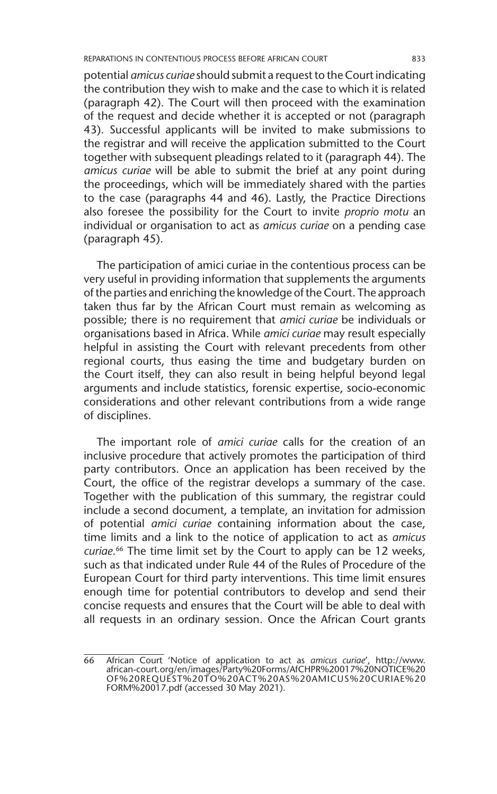potential *amicus curiae* should submit a request to the Court indicating the contribution they wish to make and the case to which it is related (paragraph 42). The Court will then proceed with the examination of the request and decide whether it is accepted or not (paragraph 43). Successful applicants will be invited to make submissions to the registrar and will receive the application submitted to the Court together with subsequent pleadings related to it (paragraph 44). The *amicus curiae* will be able to submit the brief at any point during the proceedings, which will be immediately shared with the parties to the case (paragraphs 44 and 46). Lastly, the Practice Directions also foresee the possibility for the Court to invite *proprio motu* an individual or organisation to act as *amicus curiae* on a pending case (paragraph 45).

The participation of amici curiae in the contentious process can be very useful in providing information that supplements the arguments of the parties and enriching the knowledge of the Court. The approach taken thus far by the African Court must remain as welcoming as possible; there is no requirement that *amici curiae* be individuals or organisations based in Africa. While *amici curiae* may result especially helpful in assisting the Court with relevant precedents from other regional courts, thus easing the time and budgetary burden on the Court itself, they can also result in being helpful beyond legal arguments and include statistics, forensic expertise, socio-economic considerations and other relevant contributions from a wide range of disciplines.

The important role of *amici curiae* calls for the creation of an inclusive procedure that actively promotes the participation of third party contributors. Once an application has been received by the Court, the office of the registrar develops a summary of the case. Together with the publication of this summary, the registrar could include a second document, a template, an invitation for admission of potential *amici curiae* containing information about the case, time limits and a link to the notice of application to act as *amicus curiae*. 66 The time limit set by the Court to apply can be 12 weeks, such as that indicated under Rule 44 of the Rules of Procedure of the European Court for third party interventions. This time limit ensures enough time for potential contributors to develop and send their concise requests and ensures that the Court will be able to deal with all requests in an ordinary session. Once the African Court grants

<sup>66</sup> African Court 'Notice of application to act as *amicus curiae*', http://www. african-court.org/en/images/Party%20Forms/AfCHPR%20017%20NOTICE%20 OF%20REQUEST%20TO%20ACT%20AS%20AMICUS%20CURIAE%20 FORM%20017.pdf (accessed 30 May 2021).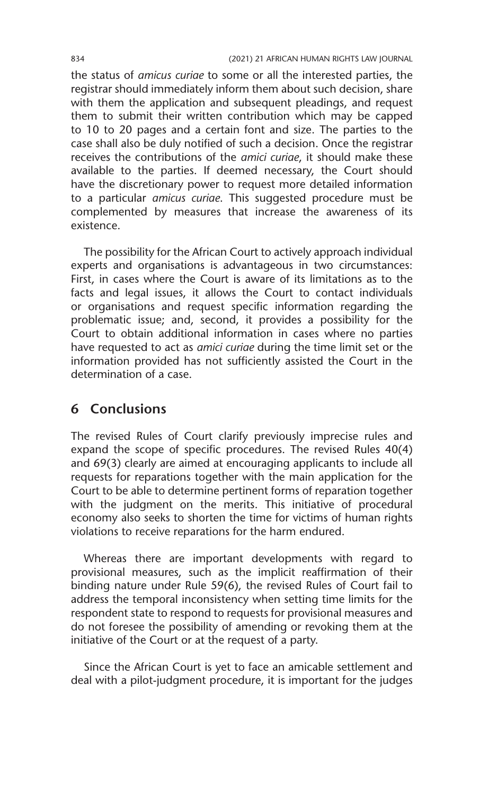the status of *amicus curiae* to some or all the interested parties, the registrar should immediately inform them about such decision, share with them the application and subsequent pleadings, and request them to submit their written contribution which may be capped to 10 to 20 pages and a certain font and size. The parties to the case shall also be duly notified of such a decision. Once the registrar receives the contributions of the *amici curiae*, it should make these available to the parties. If deemed necessary, the Court should have the discretionary power to request more detailed information to a particular *amicus curiae*. This suggested procedure must be complemented by measures that increase the awareness of its existence.

The possibility for the African Court to actively approach individual experts and organisations is advantageous in two circumstances: First, in cases where the Court is aware of its limitations as to the facts and legal issues, it allows the Court to contact individuals or organisations and request specific information regarding the problematic issue; and, second, it provides a possibility for the Court to obtain additional information in cases where no parties have requested to act as *amici curiae* during the time limit set or the information provided has not sufficiently assisted the Court in the determination of a case.

### **6 Conclusions**

The revised Rules of Court clarify previously imprecise rules and expand the scope of specific procedures. The revised Rules 40(4) and 69(3) clearly are aimed at encouraging applicants to include all requests for reparations together with the main application for the Court to be able to determine pertinent forms of reparation together with the judgment on the merits. This initiative of procedural economy also seeks to shorten the time for victims of human rights violations to receive reparations for the harm endured.

Whereas there are important developments with regard to provisional measures, such as the implicit reaffirmation of their binding nature under Rule 59(6), the revised Rules of Court fail to address the temporal inconsistency when setting time limits for the respondent state to respond to requests for provisional measures and do not foresee the possibility of amending or revoking them at the initiative of the Court or at the request of a party.

Since the African Court is yet to face an amicable settlement and deal with a pilot-judgment procedure, it is important for the judges